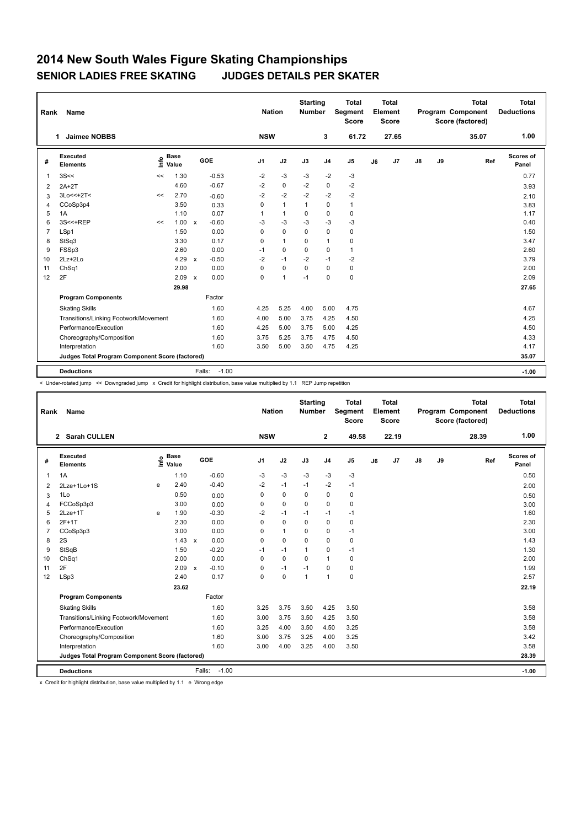## **2014 New South Wales Figure Skating Championships SENIOR LADIES FREE SKATING JUDGES DETAILS PER SKATER**

| Name<br>Rank   |                                                 |    |                      |              |                   |                | <b>Nation</b>  |              | <b>Starting</b><br>Number | <b>Total</b><br>Segment<br><b>Score</b> | Total<br>Element<br><b>Score</b> |       |               |    | <b>Total</b><br>Program Component<br>Score (factored) | Total<br><b>Deductions</b> |
|----------------|-------------------------------------------------|----|----------------------|--------------|-------------------|----------------|----------------|--------------|---------------------------|-----------------------------------------|----------------------------------|-------|---------------|----|-------------------------------------------------------|----------------------------|
|                | <b>Jaimee NOBBS</b><br>1                        |    |                      |              |                   | <b>NSW</b>     |                |              | 3                         | 61.72                                   |                                  | 27.65 |               |    | 35.07                                                 | 1.00                       |
| #              | Executed<br><b>Elements</b>                     | ۴٥ | <b>Base</b><br>Value |              | GOE               | J <sub>1</sub> | J2             | J3           | J <sub>4</sub>            | J <sub>5</sub>                          | J6                               | J7    | $\mathsf{J}8$ | J9 | Ref                                                   | Scores of<br>Panel         |
| 1              | 3S<<                                            | << | 1.30                 |              | $-0.53$           | $-2$           | $-3$           | -3           | $-2$                      | $-3$                                    |                                  |       |               |    |                                                       | 0.77                       |
| $\overline{2}$ | $2A+2T$                                         |    | 4.60                 |              | $-0.67$           | $-2$           | $\mathbf 0$    | $-2$         | 0                         | $-2$                                    |                                  |       |               |    |                                                       | 3.93                       |
| 3              | $3Lo<<+2T<$                                     | << | 2.70                 |              | $-0.60$           | $-2$           | $-2$           | $-2$         | $-2$                      | $-2$                                    |                                  |       |               |    |                                                       | 2.10                       |
| 4              | CCoSp3p4                                        |    | 3.50                 |              | 0.33              | 0              | $\mathbf{1}$   | $\mathbf{1}$ | $\mathbf 0$               | $\mathbf{1}$                            |                                  |       |               |    |                                                       | 3.83                       |
| 5              | 1A                                              |    | 1.10                 |              | 0.07              | 1              | $\mathbf{1}$   | 0            | 0                         | 0                                       |                                  |       |               |    |                                                       | 1.17                       |
| 6              | 3S<<+REP                                        | << | 1.00                 | $\mathbf{x}$ | $-0.60$           | $-3$           | $-3$           | $-3$         | $-3$                      | $-3$                                    |                                  |       |               |    |                                                       | 0.40                       |
| $\overline{7}$ | LSp1                                            |    | 1.50                 |              | 0.00              | 0              | $\mathbf 0$    | $\mathbf 0$  | $\mathbf 0$               | 0                                       |                                  |       |               |    |                                                       | 1.50                       |
| 8              | StSq3                                           |    | 3.30                 |              | 0.17              | 0              | $\mathbf{1}$   | 0            | $\mathbf{1}$              | 0                                       |                                  |       |               |    |                                                       | 3.47                       |
| 9              | FSSp3                                           |    | 2.60                 |              | 0.00              | $-1$           | 0              | $\mathbf 0$  | $\mathbf 0$               | $\mathbf{1}$                            |                                  |       |               |    |                                                       | 2.60                       |
| 10             | $2Lz+2Lo$                                       |    | 4.29                 | $\mathsf{x}$ | $-0.50$           | $-2$           | $-1$           | $-2$         | $-1$                      | $-2$                                    |                                  |       |               |    |                                                       | 3.79                       |
| 11             | ChSq1                                           |    | 2.00                 |              | 0.00              | 0              | $\mathbf 0$    | $\mathbf 0$  | $\mathbf 0$               | 0                                       |                                  |       |               |    |                                                       | 2.00                       |
| 12             | 2F                                              |    | 2.09                 | $\mathbf{x}$ | 0.00              | $\Omega$       | $\overline{1}$ | $-1$         | $\mathbf 0$               | 0                                       |                                  |       |               |    |                                                       | 2.09                       |
|                |                                                 |    | 29.98                |              |                   |                |                |              |                           |                                         |                                  |       |               |    |                                                       | 27.65                      |
|                | <b>Program Components</b>                       |    |                      |              | Factor            |                |                |              |                           |                                         |                                  |       |               |    |                                                       |                            |
|                | <b>Skating Skills</b>                           |    |                      |              | 1.60              | 4.25           | 5.25           | 4.00         | 5.00                      | 4.75                                    |                                  |       |               |    |                                                       | 4.67                       |
|                | Transitions/Linking Footwork/Movement           |    |                      |              | 1.60              | 4.00           | 5.00           | 3.75         | 4.25                      | 4.50                                    |                                  |       |               |    |                                                       | 4.25                       |
|                | Performance/Execution                           |    |                      |              | 1.60              | 4.25           | 5.00           | 3.75         | 5.00                      | 4.25                                    |                                  |       |               |    |                                                       | 4.50                       |
|                | Choreography/Composition                        |    |                      |              | 1.60              | 3.75           | 5.25           | 3.75         | 4.75                      | 4.50                                    |                                  |       |               |    |                                                       | 4.33                       |
|                | Interpretation                                  |    |                      |              | 1.60              | 3.50           | 5.00           | 3.50         | 4.75                      | 4.25                                    |                                  |       |               |    |                                                       | 4.17                       |
|                | Judges Total Program Component Score (factored) |    |                      |              |                   |                |                |              |                           |                                         |                                  |       |               |    |                                                       | 35.07                      |
|                |                                                 |    |                      |              |                   |                |                |              |                           |                                         |                                  |       |               |    |                                                       |                            |
|                | <b>Deductions</b>                               |    |                      |              | $-1.00$<br>Falls: |                |                |              |                           |                                         |                                  |       |               |    |                                                       | $-1.00$                    |

< Under-rotated jump << Downgraded jump x Credit for highlight distribution, base value multiplied by 1.1 REP Jump repetition

| Rank | Name                                            |                   |               |                         | <b>Nation</b>  |              | <b>Starting</b><br><b>Number</b> |                | <b>Total</b><br>Segment<br><b>Score</b> |    | <b>Total</b><br>Element<br><b>Score</b> |       |    | <b>Total</b><br><b>Program Component</b><br>Score (factored) | <b>Total</b><br><b>Deductions</b> |
|------|-------------------------------------------------|-------------------|---------------|-------------------------|----------------|--------------|----------------------------------|----------------|-----------------------------------------|----|-----------------------------------------|-------|----|--------------------------------------------------------------|-----------------------------------|
|      | 2 Sarah CULLEN                                  |                   |               |                         | <b>NSW</b>     |              |                                  | $\mathbf{2}$   | 49.58                                   |    | 22.19                                   |       |    | 28.39                                                        | 1.00                              |
| #    | Executed<br><b>Elements</b>                     | e Base<br>E Value | <b>Base</b>   | GOE                     | J <sub>1</sub> | J2           | J3                               | J <sub>4</sub> | J <sub>5</sub>                          | J6 | J7                                      | J8    | J9 | Ref                                                          | Scores of<br>Panel                |
| 1    | 1A                                              |                   | 1.10          | $-0.60$                 | $-3$           | $-3$         | $-3$                             | $-3$           | $-3$                                    |    |                                         |       |    |                                                              | 0.50                              |
| 2    | 2Lze+1Lo+1S                                     | e                 | 2.40          | $-0.40$                 | $-2$           | $-1$         | $-1$                             | $-2$           | $-1$                                    |    |                                         |       |    |                                                              | 2.00                              |
| 3    | 1Lo                                             |                   | 0.50          | 0.00                    | 0              | $\mathbf 0$  | 0                                | $\mathbf 0$    | 0                                       |    |                                         |       |    |                                                              | 0.50                              |
| 4    | FCCoSp3p3                                       |                   | 3.00          | 0.00                    | 0              | $\mathbf 0$  | $\Omega$                         | $\mathbf 0$    | $\mathbf 0$                             |    |                                         |       |    |                                                              | 3.00                              |
| 5    | $2$ Lze+1 $T$                                   | e                 | 1.90          | $-0.30$                 | $-2$           | $-1$         | $-1$                             | $-1$           | $-1$                                    |    |                                         |       |    |                                                              | 1.60                              |
| 6    | $2F+1T$                                         |                   | 2.30          | 0.00                    | 0              | $\mathbf 0$  | 0                                | $\pmb{0}$      | 0                                       |    |                                         |       |    |                                                              | 2.30                              |
| 7    | CCoSp3p3                                        |                   | 3.00          | 0.00                    | $\Omega$       | $\mathbf{1}$ | $\Omega$                         | 0              | $-1$                                    |    |                                         |       |    |                                                              | 3.00                              |
| 8    | 2S                                              |                   | $1.43 \times$ | 0.00                    | 0              | $\mathbf 0$  | 0                                | $\mathbf 0$    | 0                                       |    |                                         |       |    |                                                              | 1.43                              |
| 9    | StSqB                                           |                   | 1.50          | $-0.20$                 | $-1$           | $-1$         | $\mathbf{1}$                     | $\mathbf 0$    | $-1$                                    |    |                                         |       |    |                                                              | 1.30                              |
| 10   | ChSq1                                           |                   | 2.00          | 0.00                    | $\mathbf 0$    | $\mathbf 0$  | $\mathbf 0$                      | $\mathbf{1}$   | 0                                       |    |                                         |       |    |                                                              | 2.00                              |
| 11   | 2F                                              |                   | 2.09          | $-0.10$<br>$\mathsf{x}$ | 0              | $-1$         | $-1$                             | 0              | 0                                       |    |                                         |       |    |                                                              | 1.99                              |
| 12   | LSp3                                            |                   | 2.40          | 0.17                    | $\Omega$       | $\mathbf 0$  | $\mathbf{1}$                     | $\mathbf{1}$   | 0                                       |    |                                         |       |    |                                                              | 2.57                              |
|      |                                                 |                   |               |                         |                |              |                                  |                |                                         |    |                                         | 22.19 |    |                                                              |                                   |
|      | <b>Program Components</b>                       |                   |               | Factor                  |                |              |                                  |                |                                         |    |                                         |       |    |                                                              |                                   |
|      | <b>Skating Skills</b>                           |                   |               | 1.60                    | 3.25           | 3.75         | 3.50                             | 4.25           | 3.50                                    |    |                                         |       |    |                                                              | 3.58                              |
|      | Transitions/Linking Footwork/Movement           |                   |               | 1.60                    | 3.00           | 3.75         | 3.50                             | 4.25           | 3.50                                    |    |                                         |       |    |                                                              | 3.58                              |
|      | Performance/Execution                           |                   |               | 1.60                    | 3.25           | 4.00         | 3.50                             | 4.50           | 3.25                                    |    |                                         |       |    |                                                              | 3.58                              |
|      | Choreography/Composition                        |                   |               | 1.60                    | 3.00           | 3.75         | 3.25                             | 4.00           | 3.25                                    |    |                                         |       |    |                                                              | 3.42                              |
|      | Interpretation                                  |                   |               | 1.60                    | 3.00           | 4.00         | 3.25                             | 4.00           | 3.50                                    |    |                                         |       |    |                                                              | 3.58                              |
|      | Judges Total Program Component Score (factored) |                   |               |                         |                |              |                                  |                |                                         |    |                                         |       |    |                                                              | 28.39                             |
|      |                                                 |                   |               |                         |                |              |                                  |                |                                         |    |                                         |       |    |                                                              |                                   |
|      | <b>Deductions</b>                               |                   |               | $-1.00$<br>Falls:       |                |              |                                  |                |                                         |    |                                         |       |    |                                                              | $-1.00$                           |

x Credit for highlight distribution, base value multiplied by 1.1 e Wrong edge